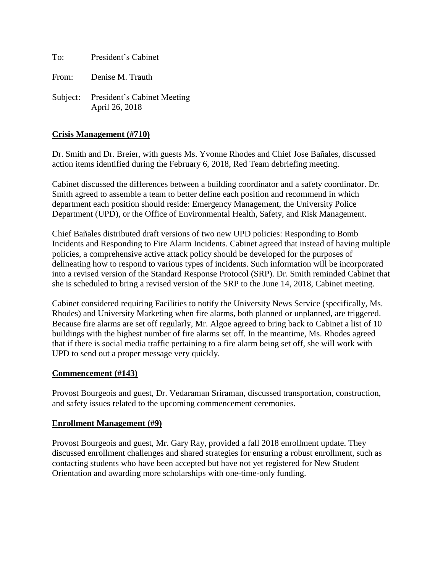To: President's Cabinet

From: Denise M. Trauth

Subject: President's Cabinet Meeting April 26, 2018

# **Crisis Management (#710)**

Dr. Smith and Dr. Breier, with guests Ms. Yvonne Rhodes and Chief Jose Bañales, discussed action items identified during the February 6, 2018, Red Team debriefing meeting.

Cabinet discussed the differences between a building coordinator and a safety coordinator. Dr. Smith agreed to assemble a team to better define each position and recommend in which department each position should reside: Emergency Management, the University Police Department (UPD), or the Office of Environmental Health, Safety, and Risk Management.

Chief Bañales distributed draft versions of two new UPD policies: Responding to Bomb Incidents and Responding to Fire Alarm Incidents. Cabinet agreed that instead of having multiple policies, a comprehensive active attack policy should be developed for the purposes of delineating how to respond to various types of incidents. Such information will be incorporated into a revised version of the Standard Response Protocol (SRP). Dr. Smith reminded Cabinet that she is scheduled to bring a revised version of the SRP to the June 14, 2018, Cabinet meeting.

Cabinet considered requiring Facilities to notify the University News Service (specifically, Ms. Rhodes) and University Marketing when fire alarms, both planned or unplanned, are triggered. Because fire alarms are set off regularly, Mr. Algoe agreed to bring back to Cabinet a list of 10 buildings with the highest number of fire alarms set off. In the meantime, Ms. Rhodes agreed that if there is social media traffic pertaining to a fire alarm being set off, she will work with UPD to send out a proper message very quickly.

## **Commencement (#143)**

Provost Bourgeois and guest, Dr. Vedaraman Sriraman, discussed transportation, construction, and safety issues related to the upcoming commencement ceremonies.

## **Enrollment Management (#9)**

Provost Bourgeois and guest, Mr. Gary Ray, provided a fall 2018 enrollment update. They discussed enrollment challenges and shared strategies for ensuring a robust enrollment, such as contacting students who have been accepted but have not yet registered for New Student Orientation and awarding more scholarships with one-time-only funding.